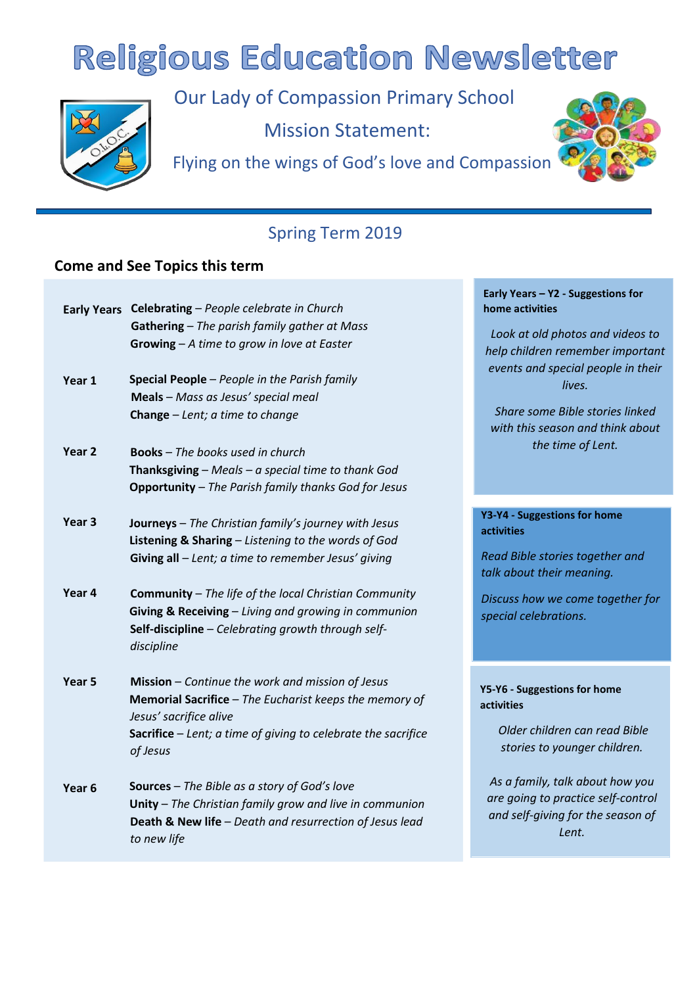# **Religious Education Newsletter**



Our Lady of Compassion Primary School

Mission Statement:

Flying on the wings of God's love and Compassion



# Spring Term 2019

## **Come and See Topics this term**

| Gathering - The parish family gather at Mass<br>Growing $-A$ time to grow in love at Easter<br>Special People - People in the Parish family<br>Year 1<br>Meals - Mass as Jesus' special meal |  |
|----------------------------------------------------------------------------------------------------------------------------------------------------------------------------------------------|--|
|                                                                                                                                                                                              |  |
|                                                                                                                                                                                              |  |
|                                                                                                                                                                                              |  |
|                                                                                                                                                                                              |  |
| <b>Change</b> $-\text{Lent}$ ; a time to change                                                                                                                                              |  |
| Year <sub>2</sub><br><b>Books</b> - The books used in church                                                                                                                                 |  |
| Thanksgiving $-$ Meals $-$ a special time to thank God                                                                                                                                       |  |
| <b>Opportunity</b> - The Parish family thanks God for Jesus                                                                                                                                  |  |
| Year <sub>3</sub><br><b>Journeys</b> - The Christian family's journey with Jesus                                                                                                             |  |
| Listening & Sharing - Listening to the words of God                                                                                                                                          |  |
| Giving all $-$ Lent; a time to remember Jesus' giving                                                                                                                                        |  |
| Year <sub>4</sub><br><b>Community</b> – The life of the local Christian Community                                                                                                            |  |
| Giving & Receiving - Living and growing in communion                                                                                                                                         |  |
| Self-discipline - Celebrating growth through self-                                                                                                                                           |  |
| discipline                                                                                                                                                                                   |  |
| Year <sub>5</sub><br>Mission - Continue the work and mission of Jesus                                                                                                                        |  |
| Memorial Sacrifice - The Eucharist keeps the memory of<br>Jesus' sacrifice alive                                                                                                             |  |
| Sacrifice - Lent; a time of giving to celebrate the sacrifice                                                                                                                                |  |
| of Jesus                                                                                                                                                                                     |  |
| Sources - The Bible as a story of God's love<br>Year <sub>6</sub>                                                                                                                            |  |
| Unity - The Christian family grow and live in communion                                                                                                                                      |  |
| Death & New life - Death and resurrection of Jesus lead<br>to new life                                                                                                                       |  |

#### **Early Years – Y2 - Suggestions for home activities**

*Look at old photos and videos to help children remember important events and special people in their lives.* 

*Share some Bible stories linked with this season and think about the time of Lent.* 

#### **Y3-Y4 - Suggestions for home activities**

*Read Bible stories together and talk about their meaning.*

*Discuss how we come together for special celebrations.* 

**Y5-Y6 - Suggestions for home activities** 

> *Older children can read Bible stories to younger children.*

*As a family, talk about how you are going to practice self-control and self-giving for the season of Lent.*